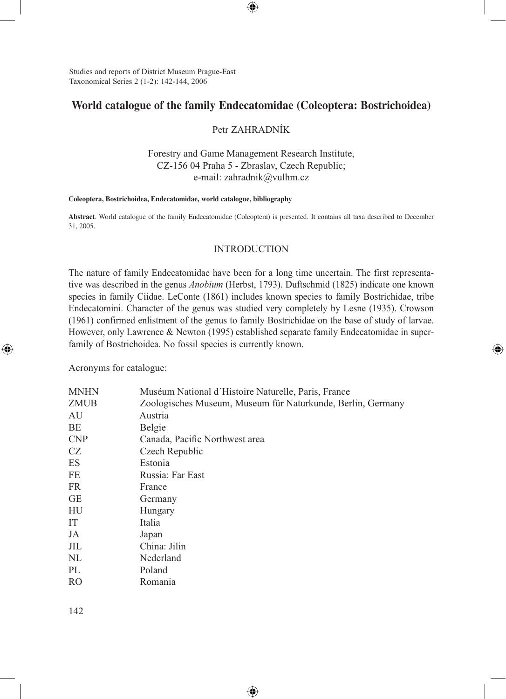Studies and reports of District Museum Prague-East Taxonomical Series 2 (1-2): 142-144, 2006

# **World catalogue of the family Endecatomidae (Coleoptera: Bostrichoidea)**

 $\bigcirc$ 

# Petr ZAHRADNÍK

Forestry and Game Management Research Institute, CZ-156 04 Praha 5 - Zbraslav, Czech Republic; e-mail: zahradnik@vulhm.cz

#### **Coleoptera, Bostrichoidea, Endecatomidae, world catalogue, bibliography**

**Abstract**. World catalogue of the family Endecatomidae (Coleoptera) is presented. It contains all taxa described to December 31, 2005.

### INTRODUCTION

The nature of family Endecatomidae have been for a long time uncertain. The first representative was described in the genus *Anobium* (Herbst, 1793). Duftschmid (1825) indicate one known species in family Ciidae. LeConte (1861) includes known species to family Bostrichidae, tribe Endecatomini. Character of the genus was studied very completely by Lesne (1935). Crowson (1961) confirmed enlistment of the genus to family Bostrichidae on the base of study of larvae. However, only Lawrence & Newton (1995) established separate family Endecatomidae in superfamily of Bostrichoidea. No fossil species is currently known.

⊕

Acronyms for catalogue:

⊕

| <b>MNHN</b> | Muséum National d'Histoire Naturelle, Paris, France         |  |
|-------------|-------------------------------------------------------------|--|
| ZMUB        | Zoologisches Museum, Museum für Naturkunde, Berlin, Germany |  |
| AU          | Austria                                                     |  |
| ΒE          | Belgie                                                      |  |
| <b>CNP</b>  | Canada, Pacific Northwest area                              |  |
| CZ          | Czech Republic                                              |  |
| ES          | Estonia                                                     |  |
| FE          | Russia: Far East                                            |  |
| FR          | France                                                      |  |
| GЕ          | Germany                                                     |  |
| HU          | Hungary                                                     |  |
| IT          | Italia                                                      |  |
| JA          | Japan                                                       |  |
| JIL         | China: Jilin                                                |  |
| NL          | Nederland                                                   |  |
| PL          | Poland                                                      |  |
| <b>RO</b>   | Romania                                                     |  |
|             |                                                             |  |

⊕

142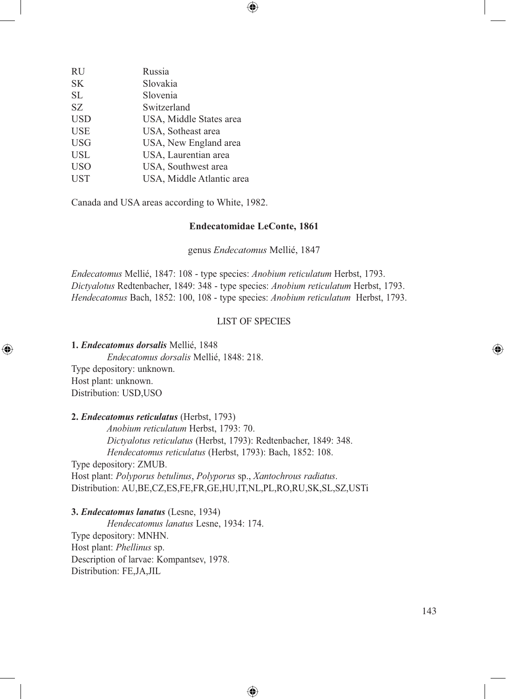| <b>RU</b>  | Russia                    |
|------------|---------------------------|
| SK         | Slovakia                  |
| SL         | Slovenia                  |
| SZ         | Switzerland               |
| USD        | USA, Middle States area   |
| USE        | USA, Sotheast area        |
| USG        | USA, New England area     |
| USL        | USA, Laurentian area      |
| USO        | USA, Southwest area       |
| <b>UST</b> | USA, Middle Atlantic area |
|            |                           |

Canada and USA areas according to White, 1982.

#### **Endecatomidae LeConte, 1861**

⊕

genus *Endecatomus* Mellié, 1847

*Endecatomus* Mellié, 1847: 108 - type species: *Anobium reticulatum* Herbst, 1793. *Dictyalotus* Redtenbacher, 1849: 348 - type species: *Anobium reticulatum* Herbst, 1793. *Hendecatomus* Bach, 1852: 100, 108 - type species: *Anobium reticulatum* Herbst, 1793.

### LIST OF SPECIES

⊕

**1.** *Endecatomus dorsalis* Mellié, 1848

⊕

 *Endecatomus dorsalis* Mellié, 1848: 218.

Type depository: unknown. Host plant: unknown. Distribution: USD,USO

**2.** *Endecatomus reticulatus* (Herbst, 1793)

 *Anobium reticulatum* Herbst, 1793: 70.  *Dictyalotus reticulatus* (Herbst, 1793): Redtenbacher, 1849: 348.  *Hendecatomus reticulatus* (Herbst, 1793): Bach, 1852: 108. Type depository: ZMUB. Host plant: *Polyporus betulinus*, *Polyporus* sp., *Xantochrous radiatus*. Distribution: AU,BE,CZ,ES,FE,FR,GE,HU,IT,NL,PL,RO,RU,SK,SL,SZ,USTi

**3.** *Endecatomus lanatus* (Lesne, 1934)

 *Hendecatomus lanatus* Lesne, 1934: 174. Type depository: MNHN. Host plant: *Phellinus* sp. Description of larvae: Kompantsev, 1978. Distribution: FE,JA,JIL

⊕